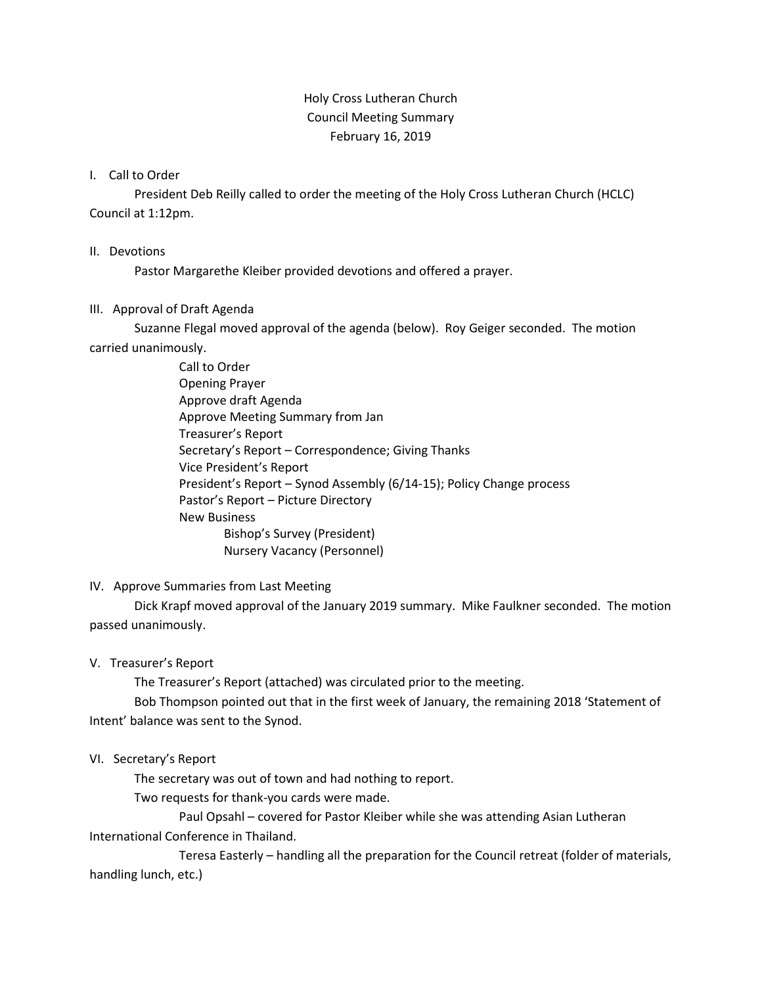# Holy Cross Lutheran Church Council Meeting Summary February 16, 2019

### I. Call to Order

President Deb Reilly called to order the meeting of the Holy Cross Lutheran Church (HCLC) Council at 1:12pm.

#### II. Devotions

Pastor Margarethe Kleiber provided devotions and offered a prayer.

### III. Approval of Draft Agenda

Suzanne Flegal moved approval of the agenda (below). Roy Geiger seconded. The motion carried unanimously.

> Call to Order Opening Prayer Approve draft Agenda Approve Meeting Summary from Jan Treasurer's Report Secretary's Report – Correspondence; Giving Thanks Vice President's Report President's Report – Synod Assembly (6/14-15); Policy Change process Pastor's Report – Picture Directory New Business Bishop's Survey (President) Nursery Vacancy (Personnel)

# IV. Approve Summaries from Last Meeting

Dick Krapf moved approval of the January 2019 summary. Mike Faulkner seconded. The motion passed unanimously.

### V. Treasurer's Report

The Treasurer's Report (attached) was circulated prior to the meeting.

Bob Thompson pointed out that in the first week of January, the remaining 2018 'Statement of Intent' balance was sent to the Synod.

### VI. Secretary's Report

The secretary was out of town and had nothing to report.

Two requests for thank-you cards were made.

Paul Opsahl – covered for Pastor Kleiber while she was attending Asian Lutheran International Conference in Thailand.

Teresa Easterly – handling all the preparation for the Council retreat (folder of materials, handling lunch, etc.)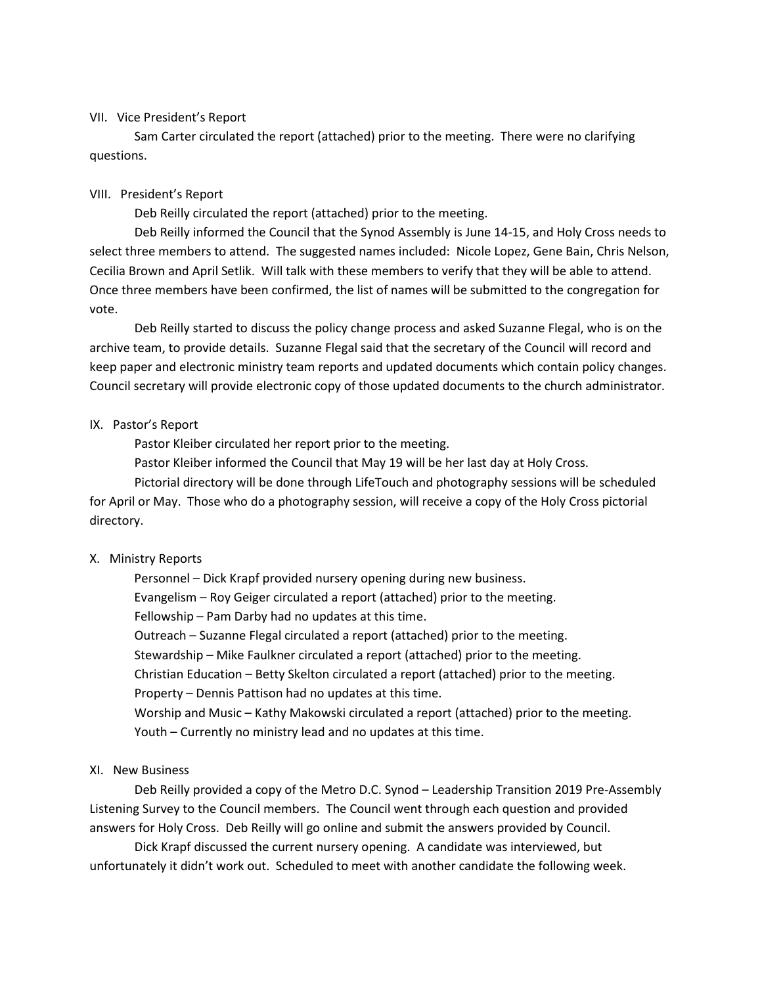#### VII. Vice President's Report

Sam Carter circulated the report (attached) prior to the meeting. There were no clarifying questions.

### VIII. President's Report

Deb Reilly circulated the report (attached) prior to the meeting.

Deb Reilly informed the Council that the Synod Assembly is June 14-15, and Holy Cross needs to select three members to attend. The suggested names included: Nicole Lopez, Gene Bain, Chris Nelson, Cecilia Brown and April Setlik. Will talk with these members to verify that they will be able to attend. Once three members have been confirmed, the list of names will be submitted to the congregation for vote.

Deb Reilly started to discuss the policy change process and asked Suzanne Flegal, who is on the archive team, to provide details. Suzanne Flegal said that the secretary of the Council will record and keep paper and electronic ministry team reports and updated documents which contain policy changes. Council secretary will provide electronic copy of those updated documents to the church administrator.

### IX. Pastor's Report

Pastor Kleiber circulated her report prior to the meeting.

Pastor Kleiber informed the Council that May 19 will be her last day at Holy Cross.

Pictorial directory will be done through LifeTouch and photography sessions will be scheduled for April or May. Those who do a photography session, will receive a copy of the Holy Cross pictorial directory.

### X. Ministry Reports

Personnel – Dick Krapf provided nursery opening during new business. Evangelism – Roy Geiger circulated a report (attached) prior to the meeting. Fellowship – Pam Darby had no updates at this time. Outreach – Suzanne Flegal circulated a report (attached) prior to the meeting. Stewardship – Mike Faulkner circulated a report (attached) prior to the meeting. Christian Education – Betty Skelton circulated a report (attached) prior to the meeting. Property – Dennis Pattison had no updates at this time. Worship and Music – Kathy Makowski circulated a report (attached) prior to the meeting. Youth – Currently no ministry lead and no updates at this time.

### XI. New Business

Deb Reilly provided a copy of the Metro D.C. Synod – Leadership Transition 2019 Pre-Assembly Listening Survey to the Council members. The Council went through each question and provided answers for Holy Cross. Deb Reilly will go online and submit the answers provided by Council.

Dick Krapf discussed the current nursery opening. A candidate was interviewed, but unfortunately it didn't work out. Scheduled to meet with another candidate the following week.